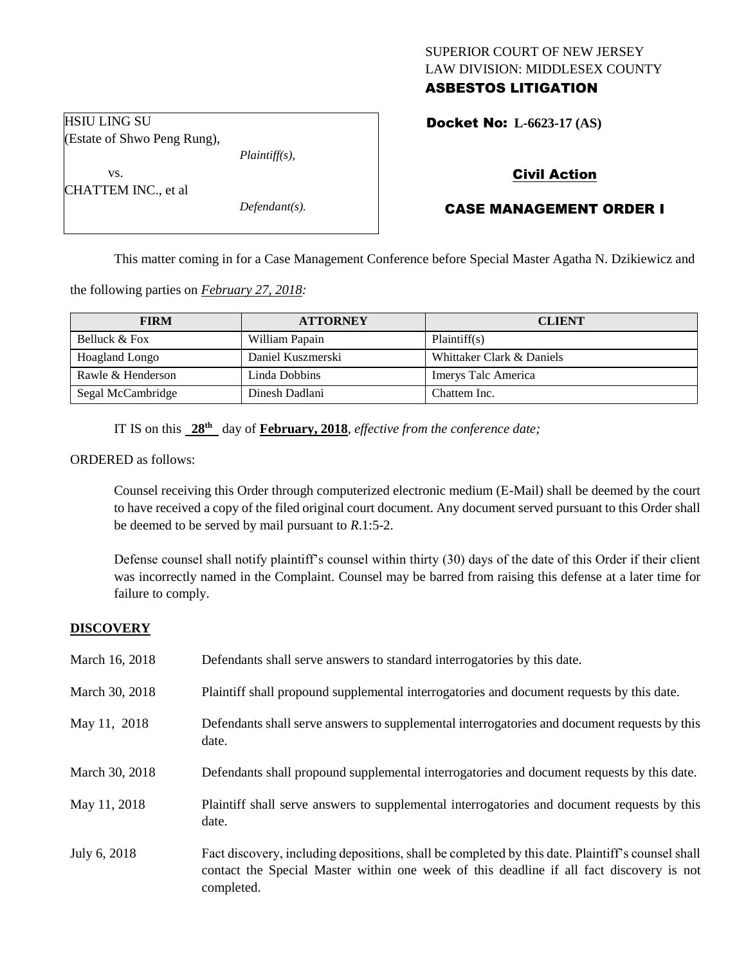## SUPERIOR COURT OF NEW JERSEY LAW DIVISION: MIDDLESEX COUNTY ASBESTOS LITIGATION

Docket No: **L-6623-17 (AS)** 

(Estate of Shwo Peng Rung),

HSIU LING SU

vs. CHATTEM INC., et al *Plaintiff(s),*

*Defendant(s).*

# Civil Action

# CASE MANAGEMENT ORDER I

This matter coming in for a Case Management Conference before Special Master Agatha N. Dzikiewicz and

the following parties on *February 27, 2018:*

| <b>FIRM</b>           | <b>ATTORNEY</b>   | <b>CLIENT</b>             |
|-----------------------|-------------------|---------------------------|
| Belluck & Fox         | William Papain    | Plaintiff(s)              |
| <b>Hoagland Longo</b> | Daniel Kuszmerski | Whittaker Clark & Daniels |
| Rawle & Henderson     | Linda Dobbins     | Imerys Talc America       |
| Segal McCambridge     | Dinesh Dadlani    | Chattem Inc.              |

IT IS on this **28th** day of **February, 2018**, *effective from the conference date;*

ORDERED as follows:

Counsel receiving this Order through computerized electronic medium (E-Mail) shall be deemed by the court to have received a copy of the filed original court document. Any document served pursuant to this Order shall be deemed to be served by mail pursuant to *R*.1:5-2.

Defense counsel shall notify plaintiff's counsel within thirty (30) days of the date of this Order if their client was incorrectly named in the Complaint. Counsel may be barred from raising this defense at a later time for failure to comply.

## **DISCOVERY**

| March 16, 2018 | Defendants shall serve answers to standard interrogatories by this date.                                                                                                                                    |
|----------------|-------------------------------------------------------------------------------------------------------------------------------------------------------------------------------------------------------------|
| March 30, 2018 | Plaintiff shall propound supplemental interrogatories and document requests by this date.                                                                                                                   |
| May 11, 2018   | Defendants shall serve answers to supplemental interrogatories and document requests by this<br>date.                                                                                                       |
| March 30, 2018 | Defendants shall propound supplemental interrogatories and document requests by this date.                                                                                                                  |
| May 11, 2018   | Plaintiff shall serve answers to supplemental interrogatories and document requests by this<br>date.                                                                                                        |
| July 6, 2018   | Fact discovery, including depositions, shall be completed by this date. Plaintiff's counsel shall<br>contact the Special Master within one week of this deadline if all fact discovery is not<br>completed. |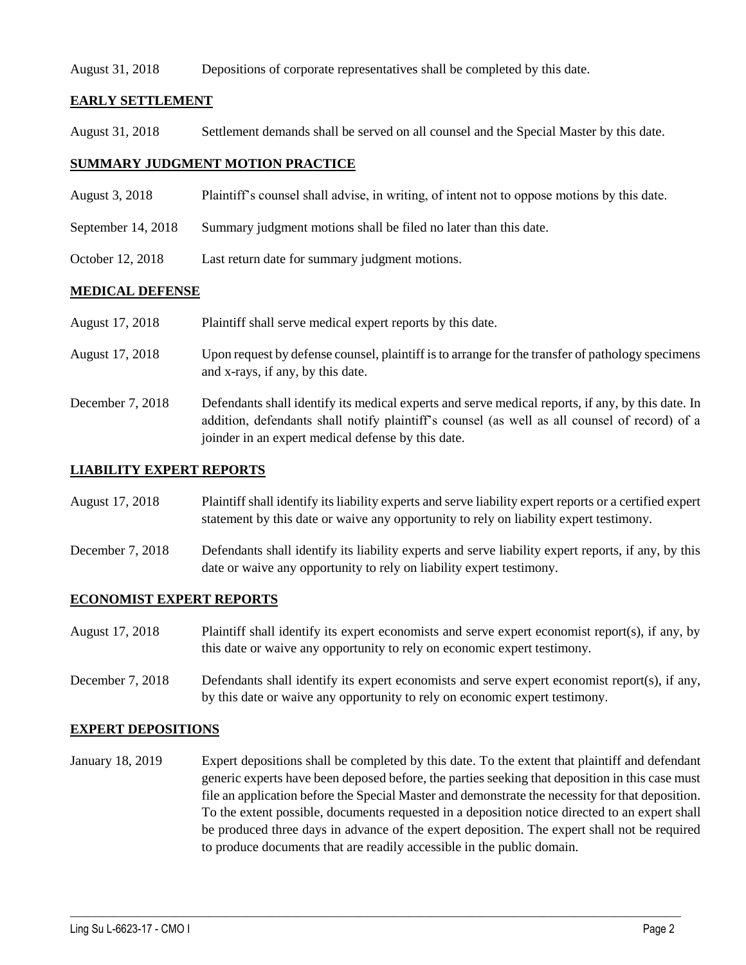## August 31, 2018 Depositions of corporate representatives shall be completed by this date.

## **EARLY SETTLEMENT**

August 31, 2018 Settlement demands shall be served on all counsel and the Special Master by this date.

## **SUMMARY JUDGMENT MOTION PRACTICE**

- August 3, 2018 Plaintiff's counsel shall advise, in writing, of intent not to oppose motions by this date.
- September 14, 2018 Summary judgment motions shall be filed no later than this date.
- October 12, 2018 Last return date for summary judgment motions.

## **MEDICAL DEFENSE**

- August 17, 2018 Plaintiff shall serve medical expert reports by this date.
- August 17, 2018 Upon request by defense counsel, plaintiff is to arrange for the transfer of pathology specimens and x-rays, if any, by this date.
- December 7, 2018 Defendants shall identify its medical experts and serve medical reports, if any, by this date. In addition, defendants shall notify plaintiff's counsel (as well as all counsel of record) of a joinder in an expert medical defense by this date.

## **LIABILITY EXPERT REPORTS**

- August 17, 2018 Plaintiff shall identify its liability experts and serve liability expert reports or a certified expert statement by this date or waive any opportunity to rely on liability expert testimony.
- December 7, 2018 Defendants shall identify its liability experts and serve liability expert reports, if any, by this date or waive any opportunity to rely on liability expert testimony.

## **ECONOMIST EXPERT REPORTS**

- August 17, 2018 Plaintiff shall identify its expert economists and serve expert economist report(s), if any, by this date or waive any opportunity to rely on economic expert testimony.
- December 7, 2018 Defendants shall identify its expert economists and serve expert economist report(s), if any, by this date or waive any opportunity to rely on economic expert testimony.

## **EXPERT DEPOSITIONS**

January 18, 2019 Expert depositions shall be completed by this date. To the extent that plaintiff and defendant generic experts have been deposed before, the parties seeking that deposition in this case must file an application before the Special Master and demonstrate the necessity for that deposition. To the extent possible, documents requested in a deposition notice directed to an expert shall be produced three days in advance of the expert deposition. The expert shall not be required to produce documents that are readily accessible in the public domain.

 $\_$  ,  $\_$  ,  $\_$  ,  $\_$  ,  $\_$  ,  $\_$  ,  $\_$  ,  $\_$  ,  $\_$  ,  $\_$  ,  $\_$  ,  $\_$  ,  $\_$  ,  $\_$  ,  $\_$  ,  $\_$  ,  $\_$  ,  $\_$  ,  $\_$  ,  $\_$  ,  $\_$  ,  $\_$  ,  $\_$  ,  $\_$  ,  $\_$  ,  $\_$  ,  $\_$  ,  $\_$  ,  $\_$  ,  $\_$  ,  $\_$  ,  $\_$  ,  $\_$  ,  $\_$  ,  $\_$  ,  $\_$  ,  $\_$  ,